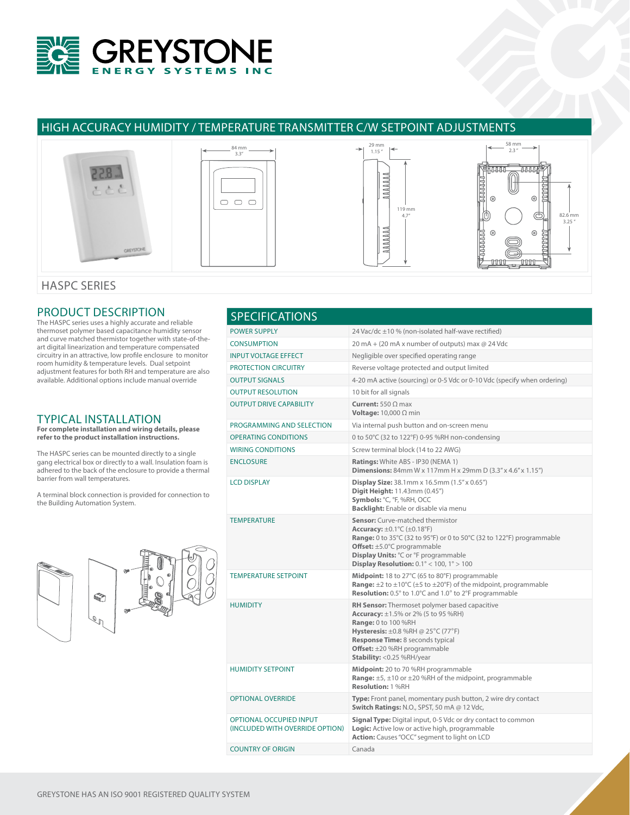

# HIGH ACCURACY HUMIDITY / TEMPERATURE TRANSMITTER C/W SETPOINT ADJUSTMENTS



### HASPC SERIES

## PRODUCT DESCRIPTION

The HASPC series uses a highly accurate and reliable thermoset polymer based capacitance humidity sensor and curve matched thermistor together with state-of-theart digital linearization and temperature compensated circuitry in an attractive, low profile enclosure to monitor room humidity & temperature levels. Dual setpoint adjustment features for both RH and temperature are also available. Additional options include manual override

### TYPICAL INSTALLATION

**For complete installation and wiring details, please refer to the product installation instructions.**

The HASPC series can be mounted directly to a single gang electrical box or directly to a wall. Insulation foam is adhered to the back of the enclosure to provide a thermal barrier from wall temperatures.

A terminal block connection is provided for connection to the Building Automation System.



| <b>POWER SUPPLY</b><br>24 Vac/dc ±10 % (non-isolated half-wave rectified)<br><b>CONSUMPTION</b><br>20 mA + (20 mA x number of outputs) max @ 24 Vdc<br><b>INPUT VOLTAGE EFFECT</b><br>Negligible over specified operating range<br><b>PROTECTION CIRCUITRY</b><br>Reverse voltage protected and output limited<br><b>OUTPUT SIGNALS</b><br>4-20 mA active (sourcing) or 0-5 Vdc or 0-10 Vdc (specify when ordering)<br><b>OUTPUT RESOLUTION</b><br>10 bit for all signals<br><b>OUTPUT DRIVE CAPABILITY</b><br><b>Current:</b> 550 $\Omega$ max<br>Voltage: $10,000 \Omega$ min<br>PROGRAMMING AND SELECTION<br>Via internal push button and on-screen menu<br><b>OPERATING CONDITIONS</b><br>0 to 50°C (32 to 122°F) 0-95 %RH non-condensing<br><b>WIRING CONDITIONS</b><br>Screw terminal block (14 to 22 AWG)<br><b>ENCLOSURE</b><br>Ratings: White ABS - IP30 (NEMA 1)<br><b>Dimensions:</b> 84mm W x 117mm H x 29mm D $(3.3'' \times 4.6'' \times 1.15'')$<br><b>LCD DISPLAY</b><br>Display Size: 38.1mm x 16.5mm (1.5" x 0.65")<br>Digit Height: 11.43mm (0.45")<br>Symbols: °C, °F, %RH, OCC<br>Backlight: Enable or disable via menu<br><b>TEMPERATURE</b><br><b>Sensor:</b> Curve-matched thermistor<br>Accuracy: $\pm 0.1^{\circ}$ C ( $\pm 0.18^{\circ}$ F)<br><b>Range:</b> 0 to 35°C (32 to 95°F) or 0 to 50°C (32 to 122°F) programmable<br>Offset: ±5.0°C programmable<br>Display Units: °C or °F programmable<br>Display Resolution: $0.1^{\circ}$ < 100, $1^{\circ}$ > 100<br><b>TEMPERATURE SETPOINT</b><br>Midpoint: 18 to 27°C (65 to 80°F) programmable<br>Range: ±2 to ±10°C (±5 to ±20°F) of the midpoint, programmable<br><b>Resolution:</b> 0.5° to 1.0°C and 1.0° to 2°F programmable<br><b>HUMIDITY</b><br>RH Sensor: Thermoset polymer based capacitive<br><b>Accuracy:</b> $\pm 1.5\%$ or 2% (5 to 95 %RH)<br><b>Range: 0 to 100 %RH</b><br>Hysteresis: ±0.8 %RH @ 25°C (77°F)<br>Response Time: 8 seconds typical<br>Offset: ±20 %RH programmable<br>Stability: < 0.25 %RH/year<br><b>HUMIDITY SETPOINT</b><br>Midpoint: 20 to 70 %RH programmable<br>Range: $\pm$ 5, $\pm$ 10 or $\pm$ 20 %RH of the midpoint, programmable<br><b>Resolution: 1 %RH</b><br><b>OPTIONAL OVERRIDE</b><br>Type: Front panel, momentary push button, 2 wire dry contact<br><b>Switch Ratings: N.O., SPST, 50 mA @ 12 Vdc,</b><br><b>OPTIONAL OCCUPIED INPUT</b><br>Signal Type: Digital input, 0-5 Vdc or dry contact to common<br>(INCLUDED WITH OVERRIDE OPTION)<br><b>Logic:</b> Active low or active high, programmable<br>Action: Causes "OCC" segment to light on LCD<br><b>COUNTRY OF ORIGIN</b><br>Canada | <b>SPECIFICATIONS</b> |  |  |  |  |
|------------------------------------------------------------------------------------------------------------------------------------------------------------------------------------------------------------------------------------------------------------------------------------------------------------------------------------------------------------------------------------------------------------------------------------------------------------------------------------------------------------------------------------------------------------------------------------------------------------------------------------------------------------------------------------------------------------------------------------------------------------------------------------------------------------------------------------------------------------------------------------------------------------------------------------------------------------------------------------------------------------------------------------------------------------------------------------------------------------------------------------------------------------------------------------------------------------------------------------------------------------------------------------------------------------------------------------------------------------------------------------------------------------------------------------------------------------------------------------------------------------------------------------------------------------------------------------------------------------------------------------------------------------------------------------------------------------------------------------------------------------------------------------------------------------------------------------------------------------------------------------------------------------------------------------------------------------------------------------------------------------------------------------------------------------------------------------------------------------------------------------------------------------------------------------------------------------------------------------------------------------------------------------------------------------------------------------------------------------------------------------------------------------------------------------------------------------------------------------------------------------------------------------------------------------------------------------------------------------------------------|-----------------------|--|--|--|--|
|                                                                                                                                                                                                                                                                                                                                                                                                                                                                                                                                                                                                                                                                                                                                                                                                                                                                                                                                                                                                                                                                                                                                                                                                                                                                                                                                                                                                                                                                                                                                                                                                                                                                                                                                                                                                                                                                                                                                                                                                                                                                                                                                                                                                                                                                                                                                                                                                                                                                                                                                                                                                                              |                       |  |  |  |  |
|                                                                                                                                                                                                                                                                                                                                                                                                                                                                                                                                                                                                                                                                                                                                                                                                                                                                                                                                                                                                                                                                                                                                                                                                                                                                                                                                                                                                                                                                                                                                                                                                                                                                                                                                                                                                                                                                                                                                                                                                                                                                                                                                                                                                                                                                                                                                                                                                                                                                                                                                                                                                                              |                       |  |  |  |  |
|                                                                                                                                                                                                                                                                                                                                                                                                                                                                                                                                                                                                                                                                                                                                                                                                                                                                                                                                                                                                                                                                                                                                                                                                                                                                                                                                                                                                                                                                                                                                                                                                                                                                                                                                                                                                                                                                                                                                                                                                                                                                                                                                                                                                                                                                                                                                                                                                                                                                                                                                                                                                                              |                       |  |  |  |  |
|                                                                                                                                                                                                                                                                                                                                                                                                                                                                                                                                                                                                                                                                                                                                                                                                                                                                                                                                                                                                                                                                                                                                                                                                                                                                                                                                                                                                                                                                                                                                                                                                                                                                                                                                                                                                                                                                                                                                                                                                                                                                                                                                                                                                                                                                                                                                                                                                                                                                                                                                                                                                                              |                       |  |  |  |  |
|                                                                                                                                                                                                                                                                                                                                                                                                                                                                                                                                                                                                                                                                                                                                                                                                                                                                                                                                                                                                                                                                                                                                                                                                                                                                                                                                                                                                                                                                                                                                                                                                                                                                                                                                                                                                                                                                                                                                                                                                                                                                                                                                                                                                                                                                                                                                                                                                                                                                                                                                                                                                                              |                       |  |  |  |  |
|                                                                                                                                                                                                                                                                                                                                                                                                                                                                                                                                                                                                                                                                                                                                                                                                                                                                                                                                                                                                                                                                                                                                                                                                                                                                                                                                                                                                                                                                                                                                                                                                                                                                                                                                                                                                                                                                                                                                                                                                                                                                                                                                                                                                                                                                                                                                                                                                                                                                                                                                                                                                                              |                       |  |  |  |  |
|                                                                                                                                                                                                                                                                                                                                                                                                                                                                                                                                                                                                                                                                                                                                                                                                                                                                                                                                                                                                                                                                                                                                                                                                                                                                                                                                                                                                                                                                                                                                                                                                                                                                                                                                                                                                                                                                                                                                                                                                                                                                                                                                                                                                                                                                                                                                                                                                                                                                                                                                                                                                                              |                       |  |  |  |  |
|                                                                                                                                                                                                                                                                                                                                                                                                                                                                                                                                                                                                                                                                                                                                                                                                                                                                                                                                                                                                                                                                                                                                                                                                                                                                                                                                                                                                                                                                                                                                                                                                                                                                                                                                                                                                                                                                                                                                                                                                                                                                                                                                                                                                                                                                                                                                                                                                                                                                                                                                                                                                                              |                       |  |  |  |  |
|                                                                                                                                                                                                                                                                                                                                                                                                                                                                                                                                                                                                                                                                                                                                                                                                                                                                                                                                                                                                                                                                                                                                                                                                                                                                                                                                                                                                                                                                                                                                                                                                                                                                                                                                                                                                                                                                                                                                                                                                                                                                                                                                                                                                                                                                                                                                                                                                                                                                                                                                                                                                                              |                       |  |  |  |  |
|                                                                                                                                                                                                                                                                                                                                                                                                                                                                                                                                                                                                                                                                                                                                                                                                                                                                                                                                                                                                                                                                                                                                                                                                                                                                                                                                                                                                                                                                                                                                                                                                                                                                                                                                                                                                                                                                                                                                                                                                                                                                                                                                                                                                                                                                                                                                                                                                                                                                                                                                                                                                                              |                       |  |  |  |  |
|                                                                                                                                                                                                                                                                                                                                                                                                                                                                                                                                                                                                                                                                                                                                                                                                                                                                                                                                                                                                                                                                                                                                                                                                                                                                                                                                                                                                                                                                                                                                                                                                                                                                                                                                                                                                                                                                                                                                                                                                                                                                                                                                                                                                                                                                                                                                                                                                                                                                                                                                                                                                                              |                       |  |  |  |  |
|                                                                                                                                                                                                                                                                                                                                                                                                                                                                                                                                                                                                                                                                                                                                                                                                                                                                                                                                                                                                                                                                                                                                                                                                                                                                                                                                                                                                                                                                                                                                                                                                                                                                                                                                                                                                                                                                                                                                                                                                                                                                                                                                                                                                                                                                                                                                                                                                                                                                                                                                                                                                                              |                       |  |  |  |  |
|                                                                                                                                                                                                                                                                                                                                                                                                                                                                                                                                                                                                                                                                                                                                                                                                                                                                                                                                                                                                                                                                                                                                                                                                                                                                                                                                                                                                                                                                                                                                                                                                                                                                                                                                                                                                                                                                                                                                                                                                                                                                                                                                                                                                                                                                                                                                                                                                                                                                                                                                                                                                                              |                       |  |  |  |  |
|                                                                                                                                                                                                                                                                                                                                                                                                                                                                                                                                                                                                                                                                                                                                                                                                                                                                                                                                                                                                                                                                                                                                                                                                                                                                                                                                                                                                                                                                                                                                                                                                                                                                                                                                                                                                                                                                                                                                                                                                                                                                                                                                                                                                                                                                                                                                                                                                                                                                                                                                                                                                                              |                       |  |  |  |  |
|                                                                                                                                                                                                                                                                                                                                                                                                                                                                                                                                                                                                                                                                                                                                                                                                                                                                                                                                                                                                                                                                                                                                                                                                                                                                                                                                                                                                                                                                                                                                                                                                                                                                                                                                                                                                                                                                                                                                                                                                                                                                                                                                                                                                                                                                                                                                                                                                                                                                                                                                                                                                                              |                       |  |  |  |  |
|                                                                                                                                                                                                                                                                                                                                                                                                                                                                                                                                                                                                                                                                                                                                                                                                                                                                                                                                                                                                                                                                                                                                                                                                                                                                                                                                                                                                                                                                                                                                                                                                                                                                                                                                                                                                                                                                                                                                                                                                                                                                                                                                                                                                                                                                                                                                                                                                                                                                                                                                                                                                                              |                       |  |  |  |  |
|                                                                                                                                                                                                                                                                                                                                                                                                                                                                                                                                                                                                                                                                                                                                                                                                                                                                                                                                                                                                                                                                                                                                                                                                                                                                                                                                                                                                                                                                                                                                                                                                                                                                                                                                                                                                                                                                                                                                                                                                                                                                                                                                                                                                                                                                                                                                                                                                                                                                                                                                                                                                                              |                       |  |  |  |  |
|                                                                                                                                                                                                                                                                                                                                                                                                                                                                                                                                                                                                                                                                                                                                                                                                                                                                                                                                                                                                                                                                                                                                                                                                                                                                                                                                                                                                                                                                                                                                                                                                                                                                                                                                                                                                                                                                                                                                                                                                                                                                                                                                                                                                                                                                                                                                                                                                                                                                                                                                                                                                                              |                       |  |  |  |  |
|                                                                                                                                                                                                                                                                                                                                                                                                                                                                                                                                                                                                                                                                                                                                                                                                                                                                                                                                                                                                                                                                                                                                                                                                                                                                                                                                                                                                                                                                                                                                                                                                                                                                                                                                                                                                                                                                                                                                                                                                                                                                                                                                                                                                                                                                                                                                                                                                                                                                                                                                                                                                                              |                       |  |  |  |  |